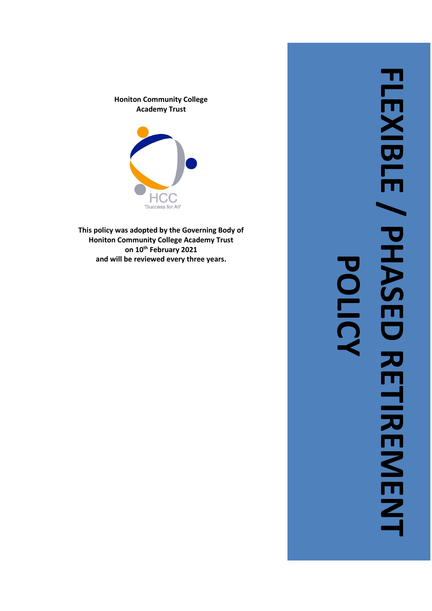



**This policy was adopted by the Governing Body of Honiton Community College Academy Trust on 10th February 2021 and will be reviewed every three years .**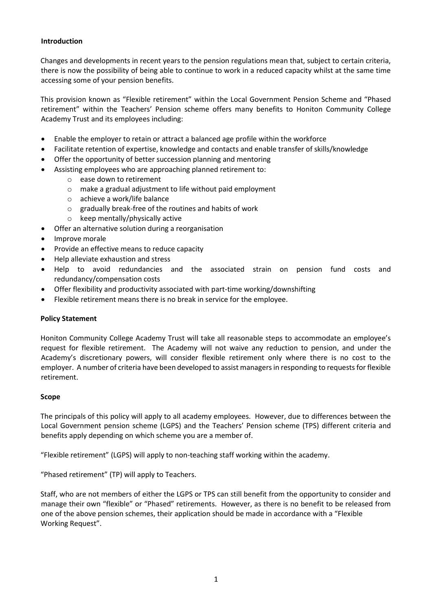### **Introduction**

Changes and developments in recent years to the pension regulations mean that, subject to certain criteria, there is now the possibility of being able to continue to work in a reduced capacity whilst at the same time accessing some of your pension benefits.

This provision known as "Flexible retirement" within the Local Government Pension Scheme and "Phased retirement" within the Teachers' Pension scheme offers many benefits to Honiton Community College Academy Trust and its employees including:

- Enable the employer to retain or attract a balanced age profile within the workforce
- Facilitate retention of expertise, knowledge and contacts and enable transfer of skills/knowledge
- Offer the opportunity of better succession planning and mentoring
- Assisting employees who are approaching planned retirement to:
	- o ease down to retirement
	- o make a gradual adjustment to life without paid employment
	- o achieve a work/life balance
	- o gradually break-free of the routines and habits of work
	- o keep mentally/physically active
- Offer an alternative solution during a reorganisation
- Improve morale
- Provide an effective means to reduce capacity
- Help alleviate exhaustion and stress
- Help to avoid redundancies and the associated strain on pension fund costs and redundancy/compensation costs
- Offer flexibility and productivity associated with part-time working/downshifting
- Flexible retirement means there is no break in service for the employee.

# **Policy Statement**

Honiton Community College Academy Trust will take all reasonable steps to accommodate an employee's request for flexible retirement. The Academy will not waive any reduction to pension, and under the Academy's discretionary powers, will consider flexible retirement only where there is no cost to the employer. A number of criteria have been developed to assist managers in responding to requests for flexible retirement.

#### **Scope**

The principals of this policy will apply to all academy employees. However, due to differences between the Local Government pension scheme (LGPS) and the Teachers' Pension scheme (TPS) different criteria and benefits apply depending on which scheme you are a member of.

"Flexible retirement" (LGPS) will apply to non-teaching staff working within the academy.

"Phased retirement" (TP) will apply to Teachers.

Staff, who are not members of either the LGPS or TPS can still benefit from the opportunity to consider and manage their own "flexible" or "Phased" retirements. However, as there is no benefit to be released from one of the above pension schemes, their application should be made in accordance with a "Flexible Working Request".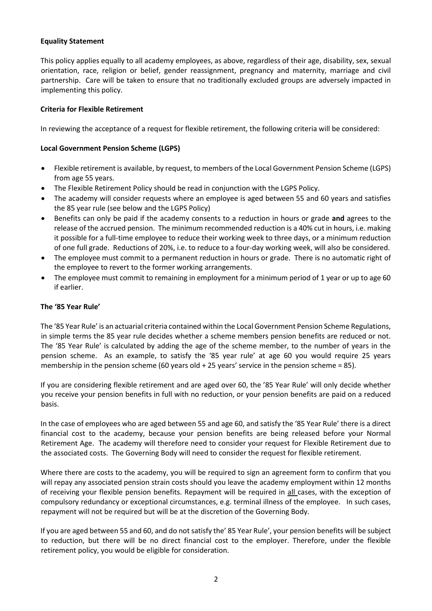## **Equality Statement**

This policy applies equally to all academy employees, as above, regardless of their age, disability, sex, sexual orientation, race, religion or belief, gender reassignment, pregnancy and maternity, marriage and civil partnership. Care will be taken to ensure that no traditionally excluded groups are adversely impacted in implementing this policy.

## **Criteria for Flexible Retirement**

In reviewing the acceptance of a request for flexible retirement, the following criteria will be considered:

### **Local Government Pension Scheme (LGPS)**

- Flexible retirement is available, by request, to members of the Local Government Pension Scheme (LGPS) from age 55 years.
- The Flexible Retirement Policy should be read in conjunction with the LGPS Policy.
- The academy will consider requests where an employee is aged between 55 and 60 years and satisfies the 85 year rule (see below and the LGPS Policy)
- Benefits can only be paid if the academy consents to a reduction in hours or grade **and** agrees to the release of the accrued pension. The minimum recommended reduction is a 40% cut in hours, i.e. making it possible for a full-time employee to reduce their working week to three days, or a minimum reduction of one full grade. Reductions of 20%, i.e. to reduce to a four-day working week, will also be considered.
- The employee must commit to a permanent reduction in hours or grade. There is no automatic right of the employee to revert to the former working arrangements.
- The employee must commit to remaining in employment for a minimum period of 1 year or up to age 60 if earlier.

#### **The '85 Year Rule'**

The '85 Year Rule' is an actuarial criteria contained within the Local Government Pension Scheme Regulations, in simple terms the 85 year rule decides whether a scheme members pension benefits are reduced or not. The '85 Year Rule' is calculated by adding the age of the scheme member, to the number of years in the pension scheme. As an example, to satisfy the '85 year rule' at age 60 you would require 25 years membership in the pension scheme (60 years old + 25 years' service in the pension scheme = 85).

If you are considering flexible retirement and are aged over 60, the '85 Year Rule' will only decide whether you receive your pension benefits in full with no reduction, or your pension benefits are paid on a reduced basis.

In the case of employees who are aged between 55 and age 60, and satisfy the '85 Year Rule' there is a direct financial cost to the academy, because your pension benefits are being released before your Normal Retirement Age. The academy will therefore need to consider your request for Flexible Retirement due to the associated costs. The Governing Body will need to consider the request for flexible retirement.

Where there are costs to the academy, you will be required to sign an agreement form to confirm that you will repay any associated pension strain costs should you leave the academy employment within 12 months of receiving your flexible pension benefits. Repayment will be required in all cases, with the exception of compulsory redundancy or exceptional circumstances, e.g. terminal illness of the employee. In such cases, repayment will not be required but will be at the discretion of the Governing Body.

If you are aged between 55 and 60, and do not satisfy the' 85 Year Rule', your pension benefits will be subject to reduction, but there will be no direct financial cost to the employer. Therefore, under the flexible retirement policy, you would be eligible for consideration.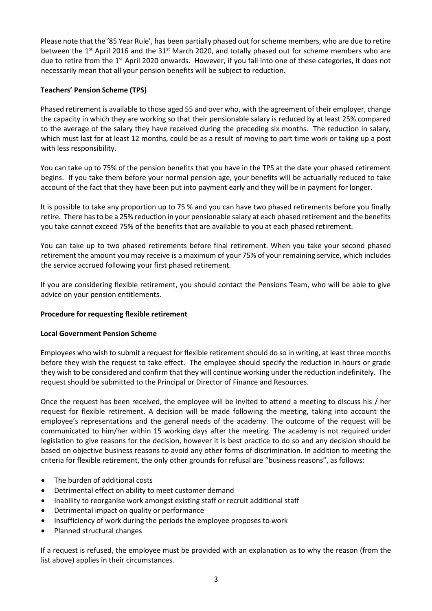Please note that the '85 Year Rule', has been partially phased out for scheme members, who are due to retire between the  $1<sup>st</sup>$  April 2016 and the 31<sup>st</sup> March 2020, and totally phased out for scheme members who are due to retire from the  $1<sup>st</sup>$  April 2020 onwards. However, if you fall into one of these categories, it does not necessarily mean that all your pension benefits will be subject to reduction.

# **Teachers' Pension Scheme (TPS)**

Phased retirement is available to those aged 55 and over who, with the agreement of their employer, change the capacity in which they are working so that their pensionable salary is reduced by at least 25% compared to the average of the salary they have received during the preceding six months. The reduction in salary, which must last for at least 12 months, could be as a result of moving to part time work or taking up a post with less responsibility.

You can take up to 75% of the pension benefits that you have in the TPS at the date your phased retirement begins. If you take them before your normal pension age, your benefits will be actuarially reduced to take account of the fact that they have been put into payment early and they will be in payment for longer.

It is possible to take any proportion up to 75 % and you can have two phased retirements before you finally retire. There has to be a 25% reduction in your pensionable salary at each phased retirement and the benefits you take cannot exceed 75% of the benefits that are available to you at each phased retirement.

You can take up to two phased retirements before final retirement. When you take your second phased retirement the amount you may receive is a maximum of your 75% of your remaining service, which includes the service accrued following your first phased retirement.

If you are considering flexible retirement, you should contact the Pensions Team, who will be able to give advice on your pension entitlements.

# **Procedure for requesting flexible retirement**

# **Local Government Pension Scheme**

Employees who wish to submit a request for flexible retirement should do so in writing, at least three months before they wish the request to take effect. The employee should specify the reduction in hours or grade they wish to be considered and confirm that they will continue working under the reduction indefinitely. The request should be submitted to the Principal or Director of Finance and Resources.

Once the request has been received, the employee will be invited to attend a meeting to discuss his / her request for flexible retirement. A decision will be made following the meeting, taking into account the employee's representations and the general needs of the academy. The outcome of the request will be communicated to him/her within 15 working days after the meeting. The academy is not required under legislation to give reasons for the decision, however it is best practice to do so and any decision should be based on objective business reasons to avoid any other forms of discrimination. In addition to meeting the criteria for flexible retirement, the only other grounds for refusal are "business reasons", as follows:

- The burden of additional costs
- Detrimental effect on ability to meet customer demand
- Inability to reorganise work amongst existing staff or recruit additional staff
- Detrimental impact on quality or performance
- Insufficiency of work during the periods the employee proposes to work
- Planned structural changes

If a request is refused, the employee must be provided with an explanation as to why the reason (from the list above) applies in their circumstances.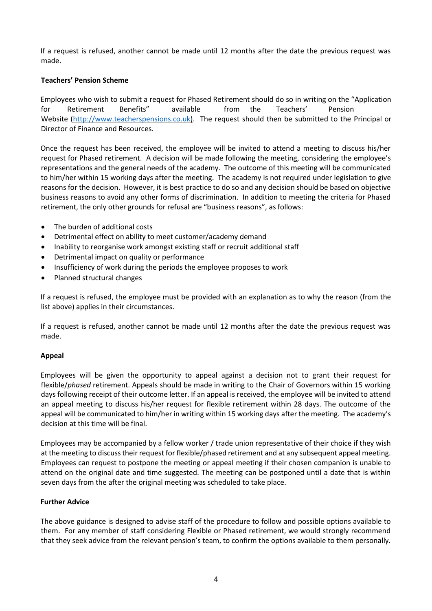If a request is refused, another cannot be made until 12 months after the date the previous request was made.

## **Teachers' Pension Scheme**

Employees who wish to submit a request for Phased Retirement should do so in writing on the "Application for Retirement Benefits" available from the Teachers' Pension Website [\(http://www.teacherspensions.co.uk\)](http://www.teacherspensions.co.uk/). The request should then be submitted to the Principal or Director of Finance and Resources.

Once the request has been received, the employee will be invited to attend a meeting to discuss his/her request for Phased retirement. A decision will be made following the meeting, considering the employee's representations and the general needs of the academy. The outcome of this meeting will be communicated to him/her within 15 working days after the meeting. The academy is not required under legislation to give reasons for the decision. However, it is best practice to do so and any decision should be based on objective business reasons to avoid any other forms of discrimination. In addition to meeting the criteria for Phased retirement, the only other grounds for refusal are "business reasons", as follows:

- The burden of additional costs
- Detrimental effect on ability to meet customer/academy demand
- Inability to reorganise work amongst existing staff or recruit additional staff
- Detrimental impact on quality or performance
- Insufficiency of work during the periods the employee proposes to work
- Planned structural changes

If a request is refused, the employee must be provided with an explanation as to why the reason (from the list above) applies in their circumstances.

If a request is refused, another cannot be made until 12 months after the date the previous request was made.

#### **Appeal**

Employees will be given the opportunity to appeal against a decision not to grant their request for flexible/*phased* retirement. Appeals should be made in writing to the Chair of Governors within 15 working days following receipt of their outcome letter. If an appeal is received, the employee will be invited to attend an appeal meeting to discuss his/her request for flexible retirement within 28 days. The outcome of the appeal will be communicated to him/her in writing within 15 working days after the meeting. The academy's decision at this time will be final.

Employees may be accompanied by a fellow worker / trade union representative of their choice if they wish at the meeting to discuss their request for flexible/phased retirement and at any subsequent appeal meeting. Employees can request to postpone the meeting or appeal meeting if their chosen companion is unable to attend on the original date and time suggested. The meeting can be postponed until a date that is within seven days from the after the original meeting was scheduled to take place.

#### **Further Advice**

The above guidance is designed to advise staff of the procedure to follow and possible options available to them. For any member of staff considering Flexible or Phased retirement, we would strongly recommend that they seek advice from the relevant pension's team, to confirm the options available to them personally.